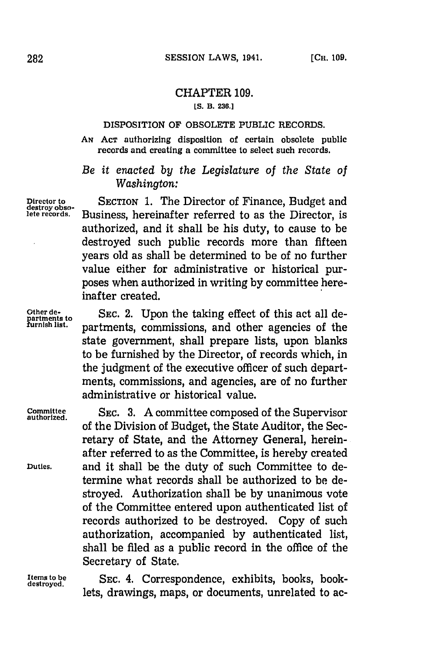## CHAPTER **109. [S. B. 236.]**

## **DISPOSITION OF OBSOLETE PUBLIC RECORDS.**

**AN ACT** authorizing disposition of certain obsolete public records and creating a committee to select such records.

*Be it enacted by the Legislature of the State of Washington:*

Director to **SECTION 1.** The Director of Finance, Budget and destroy obso-.<br>
destroy obso-. Business, bereinafter referred to as the Director is Business, hereinafter referred to as the Director, is authorized, and it shall be his duty, to cause to be destroyed such public records more than fifteen years old as shall be determined to be of no further value either for administrative or historical purposes when authorized in writing **by** committee hereinafter created.

Other de-<br>partments to SEC. 2. Upon the taking effect of this act all de-Furnish **furnish is the COL** C. 2. Upon the taking effect of this act all de-<br>*furnish list.* partments, commissions, and other agencies of the state government, shall prepare lists, upon blanks to be furnished **by** the Director, of records which, in the judgment of the executive officer of such departments, commissions, and agencies, are of no further administrative or historical value.

> of the Division of Budget, the State Auditor, the Secretary of State, and the Attorney General, herein-

**Committee SEC. 3. A** committee composed of the Supervisor **authorized.**

after referred to as the Committee, is hereby created **Duties,** and it shall be the duty of such Committee to determine what records shall be authorized to be destroyed. Authorization shall be **by** unanimous vote of the Committee entered upon authenticated list of records authorized to be destroyed. Copy of such authorization, accompanied **by** authenticated list, shall be filed as a public record in the office of the Secretary of State.

**Items to be SEC.** 4. Correspondence, exhibits, books, book- **destroyed.** lets, drawings, maps, or documents, unrelated to ac-

l.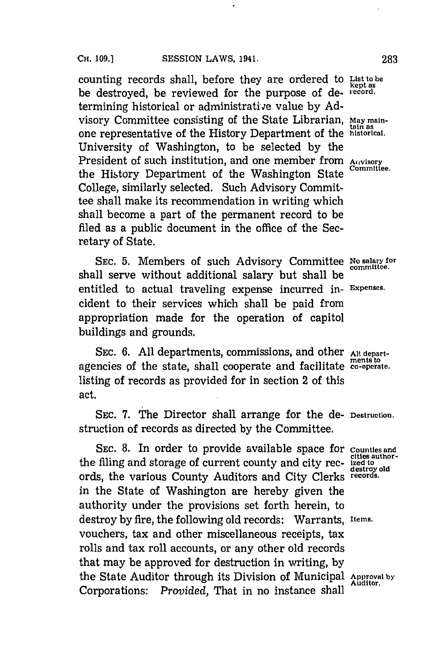counting records shall, before they are ordered to **List to be** be destroyed, be reviewed for the purpose of de- record. termining historical or administrative value by Advisory Committee consisting of the State Librarian, **May maintain as** one representative of the History Department of the **historical.** University of Washington, to be selected **by** the President of such institution, and one member from **Aivisory** the History Department of the Washington State College, similarly selected. Such Advisory Committee shall make its recommendation in writing which shall become a part of the permanent record to be filed as a public document in the office of the Secretary of State.

**SEc. 5.** Members of such Advisory Committee **No salary for** shall serve without additional salary but shall be entitled to actual traveling expense incurred in- **Expenses.** cident to their services which shall be paid from appropriation made for the operation of capitol buildings and grounds.

SEC. 6. All departments, commissions, and other All departagencies of the state, shall cooperate and facilitate **co-operate.** listing of records as provided for in section 2 of this act.

**SEC. 7.** The Director shall arrange for the de- **Destruction.** struction of records as directed **by** the Committee.

**SEC. 8.** In order to provide available space for **Counties and cities author-** the filing and storage of current county and city rec- **ized to destroy old** ords, the various County Auditors and City Clerks **records.** in the State of Washington are hereby given the authority under the provisions set forth herein, to destroy **by** fire, the following old records: Warrants, **Items.** vouchers, tax and other miscellaneous receipts, tax rolls and tax roll accounts, or any other old records that may be approved for destruction in writing, **by** the State Auditor through its Division of Municipal **Approval by** Corporations: *Provided*, That in no instance shall